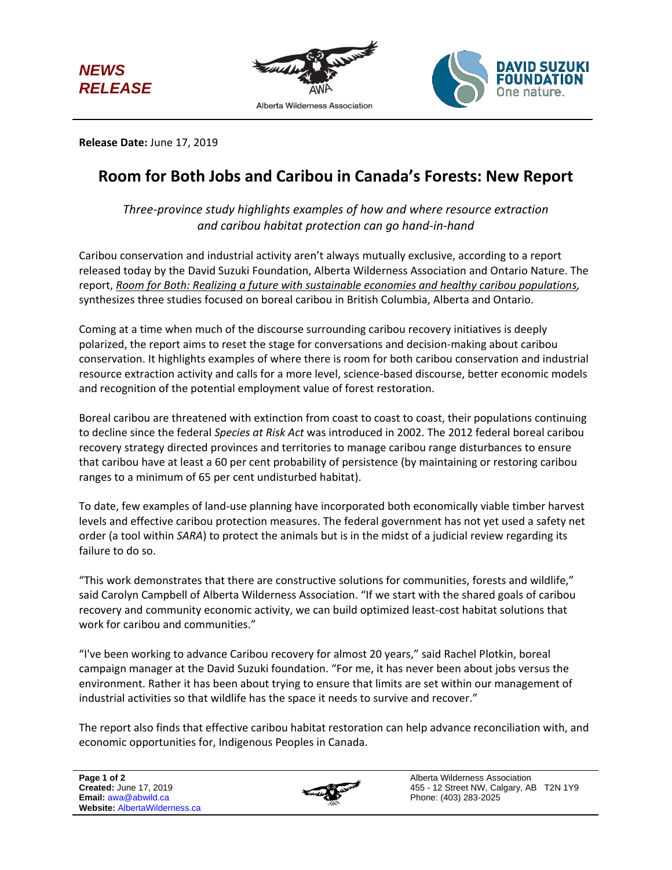





**Release Date:** June 17, 2019

## **Room for Both Jobs and Caribou in Canada's Forests: New Report**

*Three-province study highlights examples of how and where resource extraction and caribou habitat protection can go hand-in-hand*

Caribou conservation and industrial activity aren't always mutually exclusive, according to a report released today by the David Suzuki Foundation, Alberta Wilderness Association and Ontario Nature. The report, *Room for Both: Realizing a future with sustainable economies and healthy caribou populations,*  synthesizes three studies focused on boreal caribou in British Columbia, Alberta and Ontario.

Coming at a time when much of the discourse surrounding caribou recovery initiatives is deeply polarized, the report aims to reset the stage for conversations and decision-making about caribou conservation. It highlights examples of where there is room for both caribou conservation and industrial resource extraction activity and calls for a more level, science-based discourse, better economic models and recognition of the potential employment value of forest restoration.

Boreal caribou are threatened with extinction from coast to coast to coast, their populations continuing to decline since the federal *Species at Risk Act* was introduced in 2002. The 2012 federal boreal caribou recovery strategy directed provinces and territories to manage caribou range disturbances to ensure that caribou have at least a 60 per cent probability of persistence (by maintaining or restoring caribou ranges to a minimum of 65 per cent undisturbed habitat).

To date, few examples of land-use planning have incorporated both economically viable timber harvest levels and effective caribou protection measures. The federal government has not yet used a safety net order (a tool within *SARA*) to protect the animals but is in the midst of a judicial review regarding its failure to do so.

"This work demonstrates that there are constructive solutions for communities, forests and wildlife," said Carolyn Campbell of Alberta Wilderness Association. "If we start with the shared goals of caribou recovery and community economic activity, we can build optimized least-cost habitat solutions that work for caribou and communities."

"I've been working to advance Caribou recovery for almost 20 years," said Rachel Plotkin, boreal campaign manager at the David Suzuki foundation. "For me, it has never been about jobs versus the environment. Rather it has been about trying to ensure that limits are set within our management of industrial activities so that wildlife has the space it needs to survive and recover."

The report also finds that effective caribou habitat restoration can help advance reconciliation with, and economic opportunities for, Indigenous Peoples in Canada.



Alberta Wilderness Association 455 - 12 Street NW, Calgary, AB T2N 1Y9 Phone: (403) 283-2025